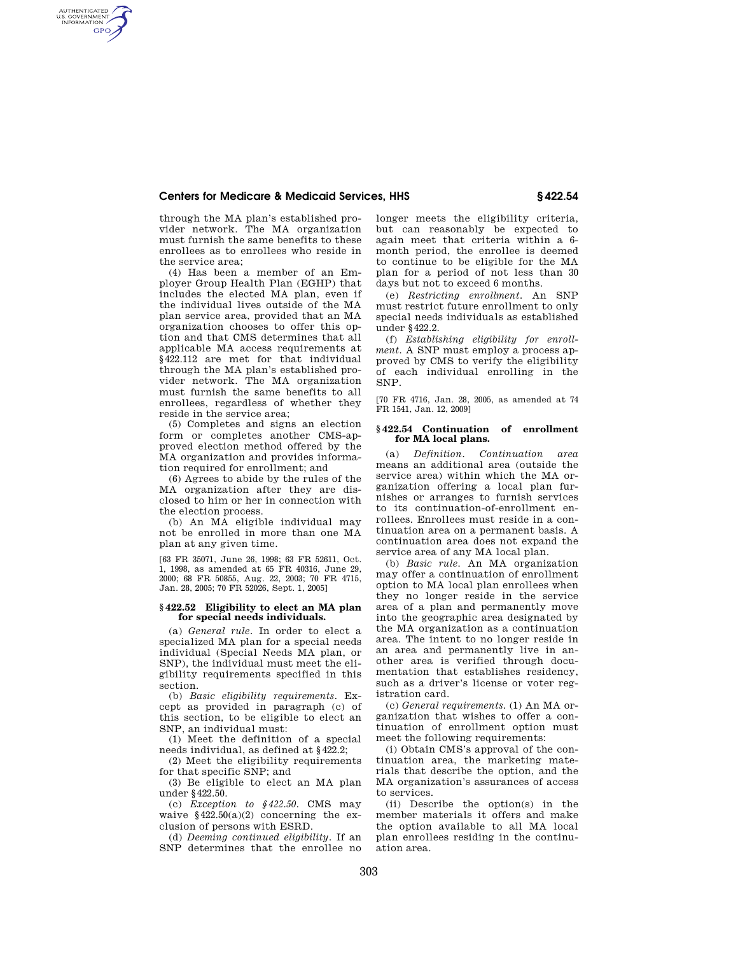## **Centers for Medicare & Medicaid Services, HHS § 422.54**

through the MA plan's established provider network. The MA organization must furnish the same benefits to these enrollees as to enrollees who reside in the service area;

AUTHENTICATED<br>U.S. GOVERNMENT<br>INFORMATION **GPO** 

> (4) Has been a member of an Employer Group Health Plan (EGHP) that includes the elected MA plan, even if the individual lives outside of the MA plan service area, provided that an MA organization chooses to offer this option and that CMS determines that all applicable MA access requirements at §422.112 are met for that individual through the MA plan's established provider network. The MA organization must furnish the same benefits to all enrollees, regardless of whether they reside in the service area;

> (5) Completes and signs an election form or completes another CMS-approved election method offered by the MA organization and provides information required for enrollment; and

> (6) Agrees to abide by the rules of the MA organization after they are disclosed to him or her in connection with the election process.

> (b) An MA eligible individual may not be enrolled in more than one MA plan at any given time.

> [63 FR 35071, June 26, 1998; 63 FR 52611, Oct. 1, 1998, as amended at 65 FR 40316, June 29, 2000; 68 FR 50855, Aug. 22, 2003; 70 FR 4715, Jan. 28, 2005; 70 FR 52026, Sept. 1, 2005]

### **§ 422.52 Eligibility to elect an MA plan for special needs individuals.**

(a) *General rule.* In order to elect a specialized MA plan for a special needs individual (Special Needs MA plan, or SNP), the individual must meet the eligibility requirements specified in this section.

(b) *Basic eligibility requirements.* Except as provided in paragraph (c) of this section, to be eligible to elect an SNP, an individual must:

(1) Meet the definition of a special needs individual, as defined at §422.2;

(2) Meet the eligibility requirements for that specific SNP; and

(3) Be eligible to elect an MA plan under §422.50.

(c) *Exception to §422.50.* CMS may waive  $§422.50(a)(2)$  concerning the exclusion of persons with ESRD.

(d) *Deeming continued eligibility.* If an SNP determines that the enrollee no longer meets the eligibility criteria, but can reasonably be expected to again meet that criteria within a 6 month period, the enrollee is deemed to continue to be eligible for the MA plan for a period of not less than 30 days but not to exceed 6 months.

(e) *Restricting enrollment.* An SNP must restrict future enrollment to only special needs individuals as established under §422.2.

(f) *Establishing eligibility for enrollment.* A SNP must employ a process approved by CMS to verify the eligibility of each individual enrolling in the SNP.

[70 FR 4716, Jan. 28, 2005, as amended at 74 FR 1541, Jan. 12, 2009]

## **§ 422.54 Continuation of enrollment for MA local plans.**

(a) *Definition. Continuation area*  means an additional area (outside the service area) within which the MA organization offering a local plan furnishes or arranges to furnish services to its continuation-of-enrollment enrollees. Enrollees must reside in a continuation area on a permanent basis. A continuation area does not expand the service area of any MA local plan.

(b) *Basic rule.* An MA organization may offer a continuation of enrollment option to MA local plan enrollees when they no longer reside in the service area of a plan and permanently move into the geographic area designated by the MA organization as a continuation area. The intent to no longer reside in an area and permanently live in another area is verified through documentation that establishes residency, such as a driver's license or voter registration card.

(c) *General requirements.* (1) An MA organization that wishes to offer a continuation of enrollment option must meet the following requirements:

(i) Obtain CMS's approval of the continuation area, the marketing materials that describe the option, and the MA organization's assurances of access to services.

(ii) Describe the option(s) in the member materials it offers and make the option available to all MA local plan enrollees residing in the continuation area.